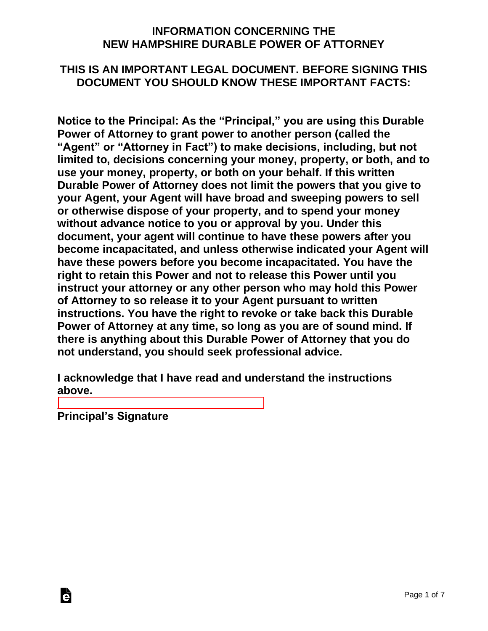#### **INFORMATION CONCERNING THE NEW HAMPSHIRE DURABLE POWER OF ATTORNEY**

# **THIS IS AN IMPORTANT LEGAL DOCUMENT. BEFORE SIGNING THIS DOCUMENT YOU SHOULD KNOW THESE IMPORTANT FACTS:**

**Notice to the Principal: As the "Principal," you are using this Durable Power of Attorney to grant power to another person (called the "Agent" or "Attorney in Fact") to make decisions, including, but not limited to, decisions concerning your money, property, or both, and to use your money, property, or both on your behalf. If this written Durable Power of Attorney does not limit the powers that you give to your Agent, your Agent will have broad and sweeping powers to sell or otherwise dispose of your property, and to spend your money without advance notice to you or approval by you. Under this document, your agent will continue to have these powers after you become incapacitated, and unless otherwise indicated your Agent will have these powers before you become incapacitated. You have the right to retain this Power and not to release this Power until you instruct your attorney or any other person who may hold this Power of Attorney to so release it to your Agent pursuant to written instructions. You have the right to revoke or take back this Durable Power of Attorney at any time, so long as you are of sound mind. If there is anything about this Durable Power of Attorney that you do not understand, you should seek professional advice.**

**I acknowledge that I have read and understand the instructions above.**

**Principal's Signature**

Ġ

**[\\_\\_\\_\\_\\_\\_\\_\\_\\_\\_\\_\\_\\_\\_\\_\\_\\_\\_\\_\\_\\_\\_\\_\\_\\_\\_\\_\\_\\_\\_\\_\\_\\_](https://esign.com)**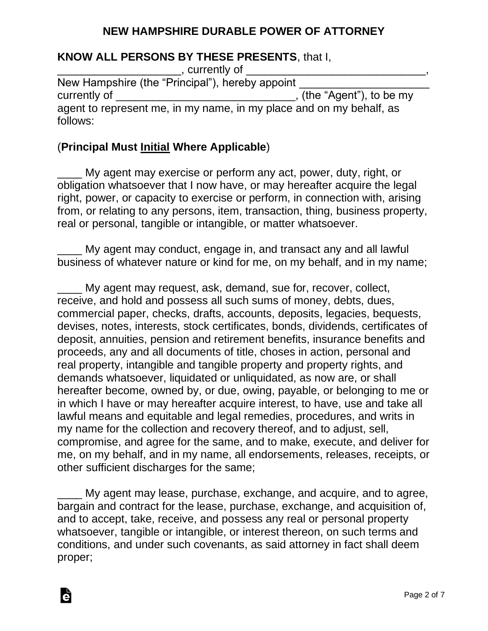## **NEW HAMPSHIRE DURABLE POWER OF ATTORNEY**

## **KNOW ALL PERSONS BY THESE PRESENTS**, that I,

, currently of New Hampshire (the "Principal"), hereby appoint currently of  $\Box$  . (the "Agent"), to be my agent to represent me, in my name, in my place and on my behalf, as follows:

# (**Principal Must Initial Where Applicable**)

My agent may exercise or perform any act, power, duty, right, or obligation whatsoever that I now have, or may hereafter acquire the legal right, power, or capacity to exercise or perform, in connection with, arising from, or relating to any persons, item, transaction, thing, business property, real or personal, tangible or intangible, or matter whatsoever.

My agent may conduct, engage in, and transact any and all lawful business of whatever nature or kind for me, on my behalf, and in my name;

My agent may request, ask, demand, sue for, recover, collect, receive, and hold and possess all such sums of money, debts, dues, commercial paper, checks, drafts, accounts, deposits, legacies, bequests, devises, notes, interests, stock certificates, bonds, dividends, certificates of deposit, annuities, pension and retirement benefits, insurance benefits and proceeds, any and all documents of title, choses in action, personal and real property, intangible and tangible property and property rights, and demands whatsoever, liquidated or unliquidated, as now are, or shall hereafter become, owned by, or due, owing, payable, or belonging to me or in which I have or may hereafter acquire interest, to have, use and take all lawful means and equitable and legal remedies, procedures, and writs in my name for the collection and recovery thereof, and to adjust, sell, compromise, and agree for the same, and to make, execute, and deliver for me, on my behalf, and in my name, all endorsements, releases, receipts, or other sufficient discharges for the same;

\_\_\_\_ My agent may lease, purchase, exchange, and acquire, and to agree, bargain and contract for the lease, purchase, exchange, and acquisition of, and to accept, take, receive, and possess any real or personal property whatsoever, tangible or intangible, or interest thereon, on such terms and conditions, and under such covenants, as said attorney in fact shall deem proper;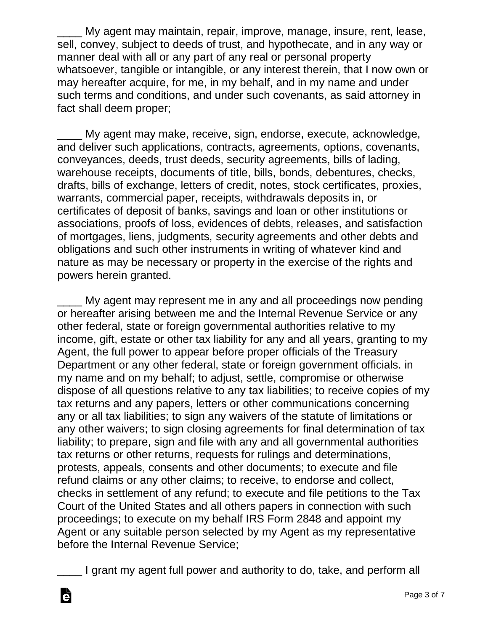My agent may maintain, repair, improve, manage, insure, rent, lease, sell, convey, subject to deeds of trust, and hypothecate, and in any way or manner deal with all or any part of any real or personal property whatsoever, tangible or intangible, or any interest therein, that I now own or may hereafter acquire, for me, in my behalf, and in my name and under such terms and conditions, and under such covenants, as said attorney in fact shall deem proper;

My agent may make, receive, sign, endorse, execute, acknowledge, and deliver such applications, contracts, agreements, options, covenants, conveyances, deeds, trust deeds, security agreements, bills of lading, warehouse receipts, documents of title, bills, bonds, debentures, checks, drafts, bills of exchange, letters of credit, notes, stock certificates, proxies, warrants, commercial paper, receipts, withdrawals deposits in, or certificates of deposit of banks, savings and loan or other institutions or associations, proofs of loss, evidences of debts, releases, and satisfaction of mortgages, liens, judgments, security agreements and other debts and obligations and such other instruments in writing of whatever kind and nature as may be necessary or property in the exercise of the rights and powers herein granted.

My agent may represent me in any and all proceedings now pending or hereafter arising between me and the Internal Revenue Service or any other federal, state or foreign governmental authorities relative to my income, gift, estate or other tax liability for any and all years, granting to my Agent, the full power to appear before proper officials of the Treasury Department or any other federal, state or foreign government officials. in my name and on my behalf; to adjust, settle, compromise or otherwise dispose of all questions relative to any tax liabilities; to receive copies of my tax returns and any papers, letters or other communications concerning any or all tax liabilities; to sign any waivers of the statute of limitations or any other waivers; to sign closing agreements for final determination of tax liability; to prepare, sign and file with any and all governmental authorities tax returns or other returns, requests for rulings and determinations, protests, appeals, consents and other documents; to execute and file refund claims or any other claims; to receive, to endorse and collect, checks in settlement of any refund; to execute and file petitions to the Tax Court of the United States and all others papers in connection with such proceedings; to execute on my behalf IRS Form 2848 and appoint my Agent or any suitable person selected by my Agent as my representative before the Internal Revenue Service;

I grant my agent full power and authority to do, take, and perform all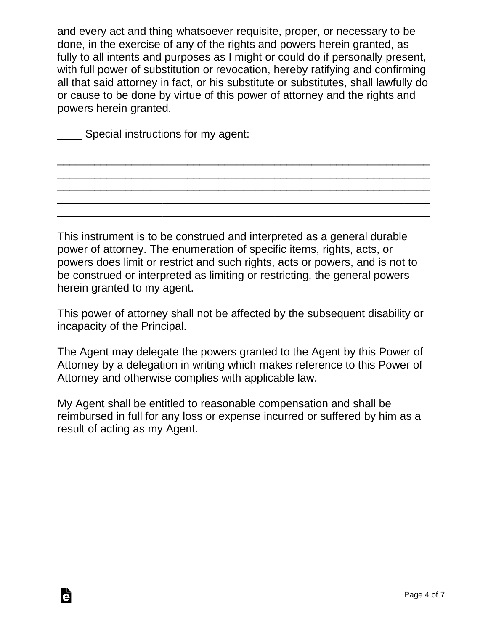and every act and thing whatsoever requisite, proper, or necessary to be done, in the exercise of any of the rights and powers herein granted, as fully to all intents and purposes as I might or could do if personally present, with full power of substitution or revocation, hereby ratifying and confirming all that said attorney in fact, or his substitute or substitutes, shall lawfully do or cause to be done by virtue of this power of attorney and the rights and powers herein granted.

\_\_\_\_\_\_\_\_\_\_\_\_\_\_\_\_\_\_\_\_\_\_\_\_\_\_\_\_\_\_\_\_\_\_\_\_\_\_\_\_\_\_\_\_\_\_\_\_\_\_\_\_\_\_\_\_\_\_\_\_ \_\_\_\_\_\_\_\_\_\_\_\_\_\_\_\_\_\_\_\_\_\_\_\_\_\_\_\_\_\_\_\_\_\_\_\_\_\_\_\_\_\_\_\_\_\_\_\_\_\_\_\_\_\_\_\_\_\_\_\_  $\_$  , and the set of the set of the set of the set of the set of the set of the set of the set of the set of the set of the set of the set of the set of the set of the set of the set of the set of the set of the set of th  $\_$  , and the set of the set of the set of the set of the set of the set of the set of the set of the set of the set of the set of the set of the set of the set of the set of the set of the set of the set of the set of th \_\_\_\_\_\_\_\_\_\_\_\_\_\_\_\_\_\_\_\_\_\_\_\_\_\_\_\_\_\_\_\_\_\_\_\_\_\_\_\_\_\_\_\_\_\_\_\_\_\_\_\_\_\_\_\_\_\_\_\_

Special instructions for my agent:

This instrument is to be construed and interpreted as a general durable power of attorney. The enumeration of specific items, rights, acts, or powers does limit or restrict and such rights, acts or powers, and is not to be construed or interpreted as limiting or restricting, the general powers herein granted to my agent.

This power of attorney shall not be affected by the subsequent disability or incapacity of the Principal.

The Agent may delegate the powers granted to the Agent by this Power of Attorney by a delegation in writing which makes reference to this Power of Attorney and otherwise complies with applicable law.

My Agent shall be entitled to reasonable compensation and shall be reimbursed in full for any loss or expense incurred or suffered by him as a result of acting as my Agent.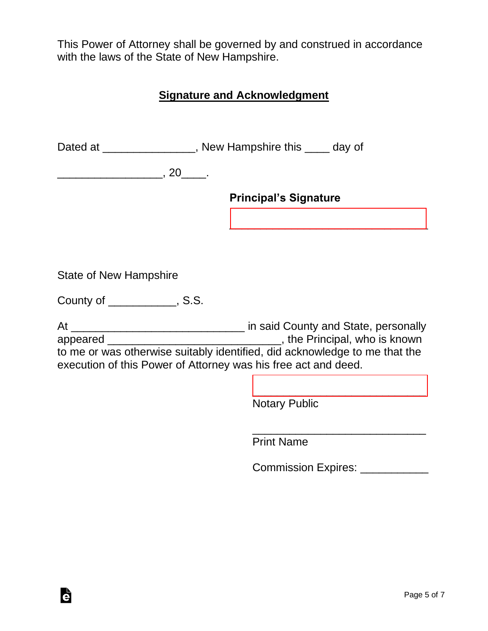This Power of Attorney shall be governed by and construed in accordance with the laws of the State of New Hampshire.

## **Signature and Acknowledgment**

Dated at \_\_\_\_\_\_\_\_\_\_\_\_\_\_, New Hampshire this \_\_\_\_ day of

 $\overline{\phantom{a}}$ , 20 $\overline{\phantom{a}}$ .

#### **Principal's Signature**

[\\_\\_\\_\\_\\_\\_\\_\\_\\_\\_\\_\\_\\_\\_\\_\\_\\_\\_\\_\\_\\_\\_\\_\\_\\_\\_\\_\\_\\_\\_\\_\\_](https://esign.com)

State of New Hampshire

County of The Results of Tensors and S.S.

At \_\_\_\_\_\_\_\_\_\_\_\_\_\_\_\_\_\_\_\_\_\_\_\_\_\_\_\_ in said County and State, personally appeared \_\_\_\_\_\_\_\_\_\_\_\_\_\_\_\_\_\_\_\_\_\_\_\_\_\_\_\_\_\_\_\_\_\_, the Principal, who is known to me or was otherwise suitably identified, did acknowledge to me that the execution of this Power of Attorney was his free act and deed.

Notary Public

Print Name

Commission Expires: \_\_\_\_\_\_\_\_\_\_\_

[\\_\\_\\_\\_\\_\\_\\_\\_\\_\\_\\_\\_\\_\\_\\_\\_\\_\\_\\_\\_\\_\\_\\_\\_\\_\\_\\_\\_](https://esign.com)

\_\_\_\_\_\_\_\_\_\_\_\_\_\_\_\_\_\_\_\_\_\_\_\_\_\_\_\_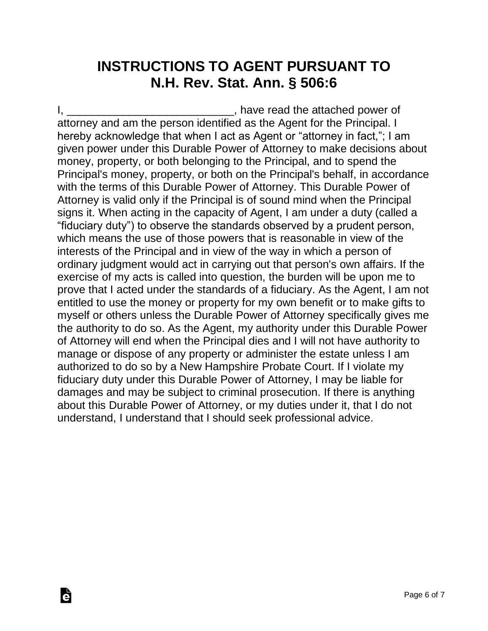# **INSTRUCTIONS TO AGENT PURSUANT TO N.H. Rev. Stat. Ann. § 506:6**

I, Letterman the state of the attached power of attorney and am the person identified as the Agent for the Principal. I hereby acknowledge that when I act as Agent or "attorney in fact,"; I am given power under this Durable Power of Attorney to make decisions about money, property, or both belonging to the Principal, and to spend the Principal's money, property, or both on the Principal's behalf, in accordance with the terms of this Durable Power of Attorney. This Durable Power of Attorney is valid only if the Principal is of sound mind when the Principal signs it. When acting in the capacity of Agent, I am under a duty (called a "fiduciary duty") to observe the standards observed by a prudent person, which means the use of those powers that is reasonable in view of the interests of the Principal and in view of the way in which a person of ordinary judgment would act in carrying out that person's own affairs. If the exercise of my acts is called into question, the burden will be upon me to prove that I acted under the standards of a fiduciary. As the Agent, I am not entitled to use the money or property for my own benefit or to make gifts to myself or others unless the Durable Power of Attorney specifically gives me the authority to do so. As the Agent, my authority under this Durable Power of Attorney will end when the Principal dies and I will not have authority to manage or dispose of any property or administer the estate unless I am authorized to do so by a New Hampshire Probate Court. If I violate my fiduciary duty under this Durable Power of Attorney, I may be liable for damages and may be subject to criminal prosecution. If there is anything about this Durable Power of Attorney, or my duties under it, that I do not understand, I understand that I should seek professional advice.

Ġ